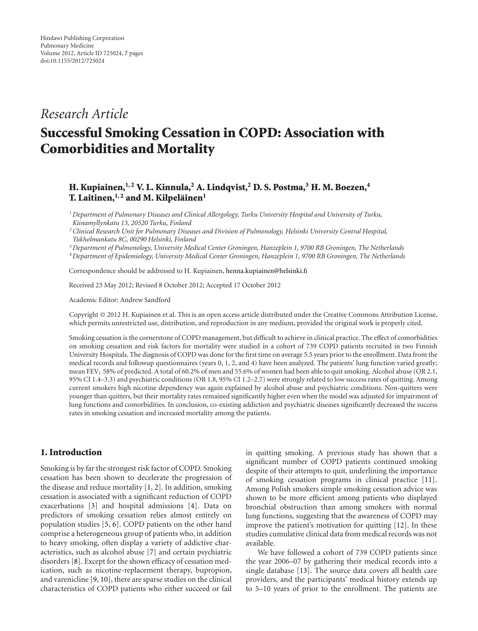## *Research Article*

# **Successful Smoking Cessation in COPD: Association with Comorbidities and Mortality**

### **H. Kupiainen,1, 2 V. L. Kinnula,2 A. Lindqvist,2 D. S. Postma,3 H. M. Boezen,4 T. Laitinen,1, 2 and M. Kilpelainen ¨ <sup>1</sup>**

*1Department of Pulmonary Diseases and Clinical Allergology, Turku University Hospital and University of Turku, Kiinamyllynkatu 13, 20520 Turku, Finland*

*2Clinical Research Unit for Pulmonary Diseases and Division of Pulmonology, Helsinki University Central Hospital, Tukholmankatu 8C, 00290 Helsinki, Finland*

*3Department of Pulmonology, University Medical Center Groningen, Hanzeplein 1, 9700 RB Groningen, The Netherlands 4Department of Epidemiology, University Medical Center Groningen, Hanzeplein 1, 9700 RB Groningen, The Netherlands*

Correspondence should be addressed to H. Kupiainen, [henna.kupiainen@helsinki.fi](mailto:henna.kupiainen@helsinki.fi)

Received 23 May 2012; Revised 8 October 2012; Accepted 17 October 2012

Academic Editor: Andrew Sandford

Copyright © 2012 H. Kupiainen et al. This is an open access article distributed under the Creative Commons Attribution License, which permits unrestricted use, distribution, and reproduction in any medium, provided the original work is properly cited.

Smoking cessation is the cornerstone of COPD management, but difficult to achieve in clinical practice. The effect of comorbidities on smoking cessation and risk factors for mortality were studied in a cohort of 739 COPD patients recruited in two Finnish University Hospitals. The diagnosis of COPD was done for the first time on average 5.5 years prior to the enrollment. Data from the medical records and followup questionnaires (years 0, 1, 2, and 4) have been analyzed. The patients' lung function varied greatly; mean FEV<sub>1</sub> 58% of predicted. A total of 60.2% of men and 55.6% of women had been able to quit smoking. Alcohol abuse (OR 2.1, 95% CI 1.4–3.3) and psychiatric conditions (OR 1.8, 95% CI 1.2–2.7) were strongly related to low success rates of quitting. Among current smokers high nicotine dependency was again explained by alcohol abuse and psychiatric conditions. Non-quitters were younger than quitters, but their mortality rates remained significantly higher even when the model was adjusted for impairment of lung functions and comorbidities. In conclusion, co-existing addiction and psychiatric diseases significantly decreased the success rates in smoking cessation and increased mortality among the patients.

#### **1. Introduction**

Smoking is by far the strongest risk factor of COPD. Smoking cessation has been shown to decelerate the progression of the disease and reduce mortality [\[1,](#page-5-1) [2\]](#page-5-2). In addition, smoking cessation is associated with a significant reduction of COPD exacerbations [\[3](#page-5-3)] and hospital admissions [\[4](#page-5-4)]. Data on predictors of smoking cessation relies almost entirely on population studies [\[5](#page-5-5), [6](#page-5-6)]. COPD patients on the other hand comprise a heterogeneous group of patients who, in addition to heavy smoking, often display a variety of addictive characteristics, such as alcohol abuse [\[7\]](#page-5-7) and certain psychiatric disorders [\[8\]](#page-5-8). Except for the shown efficacy of cessation medication, such as nicotine-replacement therapy, bupropion, and varenicline [\[9,](#page-5-9) [10\]](#page-5-10), there are sparse studies on the clinical characteristics of COPD patients who either succeed or fail

in quitting smoking. A previous study has shown that a significant number of COPD patients continued smoking despite of their attempts to quit, underlining the importance of smoking cessation programs in clinical practice [\[11\]](#page-5-11). Among Polish smokers simple smoking cessation advice was shown to be more efficient among patients who displayed bronchial obstruction than among smokers with normal lung functions, suggesting that the awareness of COPD may improve the patient's motivation for quitting [\[12\]](#page-5-12). In these studies cumulative clinical data from medical records was not available.

We have followed a cohort of 739 COPD patients since the year 2006–07 by gathering their medical records into a single database [\[13\]](#page-5-13). The source data covers all health care providers, and the participants' medical history extends up to 5–10 years of prior to the enrollment. The patients are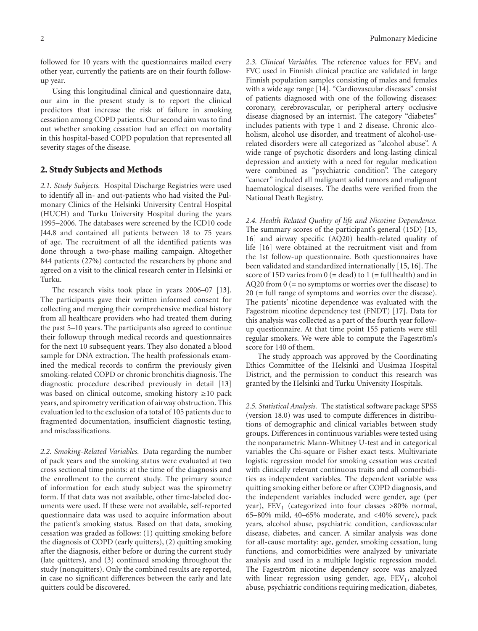followed for 10 years with the questionnaires mailed every other year, currently the patients are on their fourth followup year.

Using this longitudinal clinical and questionnaire data, our aim in the present study is to report the clinical predictors that increase the risk of failure in smoking cessation among COPD patients. Our second aim was to find out whether smoking cessation had an effect on mortality in this hospital-based COPD population that represented all severity stages of the disease.

#### **2. Study Subjects and Methods**

*2.1. Study Subjects.* Hospital Discharge Registries were used to identify all in- and out-patients who had visited the Pulmonary Clinics of the Helsinki University Central Hospital (HUCH) and Turku University Hospital during the years 1995–2006. The databases were screened by the ICD10 code J44.8 and contained all patients between 18 to 75 years of age. The recruitment of all the identified patients was done through a two-phase mailing campaign. Altogether 844 patients (27%) contacted the researchers by phone and agreed on a visit to the clinical research center in Helsinki or Turku.

The research visits took place in years 2006–07 [\[13\]](#page-5-13). The participants gave their written informed consent for collecting and merging their comprehensive medical history from all healthcare providers who had treated them during the past 5–10 years. The participants also agreed to continue their followup through medical records and questionnaires for the next 10 subsequent years. They also donated a blood sample for DNA extraction. The health professionals examined the medical records to confirm the previously given smoking-related COPD or chronic bronchitis diagnosis. The diagnostic procedure described previously in detail [\[13](#page-5-13)] was based on clinical outcome, smoking history ≥10 pack years, and spirometry verification of airway obstruction. This evaluation led to the exclusion of a total of 105 patients due to fragmented documentation, insufficient diagnostic testing, and misclassifications.

*2.2. Smoking-Related Variables.* Data regarding the number of pack years and the smoking status were evaluated at two cross sectional time points: at the time of the diagnosis and the enrollment to the current study. The primary source of information for each study subject was the spirometry form. If that data was not available, other time-labeled documents were used. If these were not available, self-reported questionnaire data was used to acquire information about the patient's smoking status. Based on that data, smoking cessation was graded as follows: (1) quitting smoking before the diagnosis of COPD (early quitters), (2) quitting smoking after the diagnosis, either before or during the current study (late quitters), and (3) continued smoking throughout the study (nonquitters). Only the combined results are reported, in case no significant differences between the early and late quitters could be discovered.

2.3. Clinical Variables. The reference values for  $FEV<sub>1</sub>$  and FVC used in Finnish clinical practice are validated in large Finnish population samples consisting of males and females with a wide age range [\[14](#page-5-14)]. "Cardiovascular diseases" consist of patients diagnosed with one of the following diseases: coronary, cerebrovascular, or peripheral artery occlusive disease diagnosed by an internist. The category "diabetes" includes patients with type 1 and 2 disease. Chronic alcoholism, alcohol use disorder, and treatment of alcohol-userelated disorders were all categorized as "alcohol abuse". A wide range of psychotic disorders and long-lasting clinical depression and anxiety with a need for regular medication were combined as "psychiatric condition". The category "cancer" included all malignant solid tumors and malignant haematological diseases. The deaths were verified from the National Death Registry.

*2.4. Health Related Quality of life and Nicotine Dependence.* The summary scores of the participant's general (15D) [\[15](#page-5-15), [16](#page-5-16)] and airway specific (AQ20) health-related quality of life [\[16](#page-5-16)] were obtained at the recruitment visit and from the 1st follow-up questionnaire. Both questionnaires have been validated and standardized internationally [\[15](#page-5-15), [16](#page-5-16)]. The score of 15D varies from  $0$  (= dead) to 1 (= full health) and in AQ20 from 0 (= no symptoms or worries over the disease) to 20 (= full range of symptoms and worries over the disease). The patients' nicotine dependence was evaluated with the Fageström nicotine dependency test (FNDT) [[17](#page-5-17)]. Data for this analysis was collected as a part of the fourth year followup questionnaire. At that time point 155 patients were still regular smokers. We were able to compute the Fageström's score for 140 of them.

The study approach was approved by the Coordinating Ethics Committee of the Helsinki and Uusimaa Hospital District, and the permission to conduct this research was granted by the Helsinki and Turku University Hospitals.

*2.5. Statistical Analysis.* The statistical software package SPSS (version 18.0) was used to compute differences in distributions of demographic and clinical variables between study groups. Differences in continuous variables were tested using the nonparametric Mann-Whitney U-test and in categorical variables the Chi-square or Fisher exact tests. Multivariate logistic regression model for smoking cessation was created with clinically relevant continuous traits and all comorbidities as independent variables. The dependent variable was quitting smoking either before or after COPD diagnosis, and the independent variables included were gender, age (per year), FEV<sub>1</sub> (categorized into four classes >80% normal, 65–80% mild, 40–65% moderate, and *<*40% severe), pack years, alcohol abuse, psychiatric condition, cardiovascular disease, diabetes, and cancer. A similar analysis was done for all-cause mortality: age, gender, smoking cessation, lung functions, and comorbidities were analyzed by univariate analysis and used in a multiple logistic regression model. The Fageström nicotine dependency score was analyzed with linear regression using gender, age,  $FEV<sub>1</sub>$ , alcohol abuse, psychiatric conditions requiring medication, diabetes,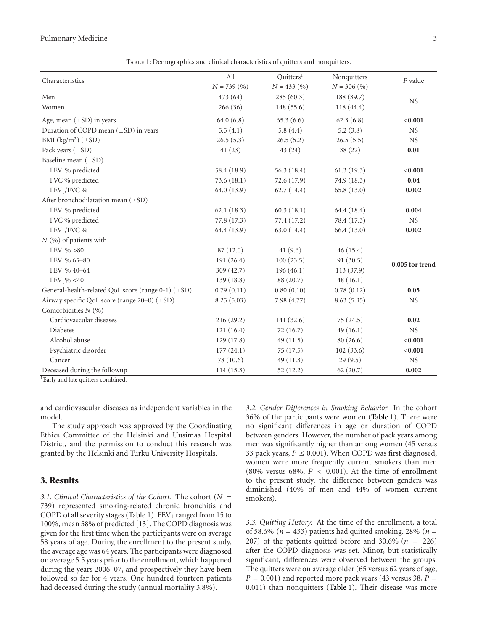#### Pulmonary Medicine 3

| Characteristics                                    | All          | Quitters <sup>1</sup> | Nonquitters   | $P$ value       |  |
|----------------------------------------------------|--------------|-----------------------|---------------|-----------------|--|
|                                                    | $N = 739(%)$ | $N = 433 (%)$         | $N = 306 (%)$ |                 |  |
| Men                                                | 473 (64)     | 285(60.3)             | 188 (39.7)    | NS              |  |
| Women                                              | 266(36)      | 148(55.6)             | 118(44.4)     |                 |  |
| Age, mean $(\pm SD)$ in years                      | 64.0(6.8)    | 65.3(6.6)             | 62.3(6.8)     | < 0.001         |  |
| Duration of COPD mean $(\pm SD)$ in years          | 5.5(4.1)     | 5.8(4.4)              | 5.2(3.8)      | NS              |  |
| BMI $(kg/m^2)$ ( $\pm$ SD)                         | 26.5(5.3)    | 26.5(5.2)             | 26.5(5.5)     | <b>NS</b>       |  |
| Pack years $(\pm SD)$                              | 41(23)       | 43(24)                | 38 (22)       | 0.01            |  |
| Baseline mean $(\pm SD)$                           |              |                       |               |                 |  |
| FEV <sub>1</sub> % predicted                       | 58.4 (18.9)  | 56.3 (18.4)           | 61.3(19.3)    | < 0.001         |  |
| FVC % predicted                                    | 73.6 (18.1)  | 72.6 (17.9)           | 74.9 (18.3)   | 0.04            |  |
| $FEV1/FVC$ %                                       | 64.0 (13.9)  | 62.7(14.4)            | 65.8(13.0)    | 0.002           |  |
| After bronchodilatation mean $(\pm SD)$            |              |                       |               |                 |  |
| FEV <sub>1</sub> % predicted                       | 62.1(18.3)   | 60.3(18.1)            | 64.4 (18.4)   | 0.004           |  |
| FVC % predicted                                    | 77.8 (17.3)  | 77.4 (17.2)           | 78.4 (17.3)   | <b>NS</b>       |  |
| $FEV1/FVC$ %                                       | 64.4 (13.9)  | 63.0 (14.4)           | 66.4(13.0)    | 0.002           |  |
| $N$ $(\% )$ of patients with                       |              |                       |               |                 |  |
| $FEV_1\% > 80$                                     | 87(12.0)     | 41 $(9.6)$            | 46(15.4)      |                 |  |
| $FEV1$ % 65-80                                     | 191(26.4)    | 100(23.5)             | 91(30.5)      | 0.005 for trend |  |
| $FEV1$ % 40-64                                     | 309(42.7)    | 196(46.1)             | 113(37.9)     |                 |  |
| FEV <sub>1</sub> % < 40                            | 139(18.8)    | 88 (20.7)             | 48(16.1)      |                 |  |
| General-health-related QoL score (range 0-1) (±SD) | 0.79(0.11)   | 0.80(0.10)            | 0.78(0.12)    | 0.05            |  |
| Airway specific QoL score (range 20-0) (±SD)       | 8.25(5.03)   | 7.98 (4.77)           | 8.63(5.35)    | <b>NS</b>       |  |
| Comorbidities $N$ (%)                              |              |                       |               |                 |  |
| Cardiovascular diseases                            | 216(29.2)    | 141 (32.6)            | 75(24.5)      | 0.02            |  |
| Diabetes                                           | 121(16.4)    | 72(16.7)              | 49(16.1)      | $_{\rm NS}$     |  |
| Alcohol abuse                                      | 129(17.8)    | 49(11.5)              | 80(26.6)      | < 0.001         |  |
| Psychiatric disorder                               | 177(24.1)    | 75(17.5)              | 102(33.6)     | < 0.001         |  |
| Cancer                                             | 78 (10.6)    | 49(11.3)              | 29(9.5)       | <b>NS</b>       |  |
| Deceased during the followup                       | 114(15.3)    | 52(12.2)              | 62(20.7)      | 0.002           |  |

<span id="page-2-0"></span>Table 1: Demographics and clinical characteristics of quitters and nonquitters.

<sup>1</sup>Early and late quitters combined.

and cardiovascular diseases as independent variables in the model.

The study approach was approved by the Coordinating Ethics Committee of the Helsinki and Uusimaa Hospital District, and the permission to conduct this research was granted by the Helsinki and Turku University Hospitals.

#### **3. Results**

*3.1. Clinical Characteristics of the Cohort.* The cohort (*<sup>N</sup>* <sup>=</sup> 739) represented smoking-related chronic bronchitis and COPD of all severity stages [\(Table 1\)](#page-2-0).  $FEV_1$  ranged from 15 to 100%, mean 58% of predicted [\[13\]](#page-5-13). The COPD diagnosis was given for the first time when the participants were on average 58 years of age. During the enrollment to the present study, the average age was 64 years. The participants were diagnosed on average 5.5 years prior to the enrollment, which happened during the years 2006–07, and prospectively they have been followed so far for 4 years. One hundred fourteen patients had deceased during the study (annual mortality 3.8%).

*3.2. Gender Differences in Smoking Behavior.* In the cohort 36% of the participants were women [\(Table 1\)](#page-2-0). There were no significant differences in age or duration of COPD between genders. However, the number of pack years among men was significantly higher than among women (45 versus 33 pack years,  $P \le 0.001$ ). When COPD was first diagnosed, women were more frequently current smokers than men (80% versus 68%, *P <* 0*.*001). At the time of enrollment to the present study, the difference between genders was diminished (40% of men and 44% of women current smokers).

*3.3. Quitting History.* At the time of the enrollment, a total of 58.6% ( $n = 433$ ) patients had quitted smoking. 28% ( $n =$ 207) of the patients quitted before and  $30.6\%$  ( $n = 226$ ) after the COPD diagnosis was set. Minor, but statistically significant, differences were observed between the groups. The quitters were on average older (65 versus 62 years of age,  $P = 0.001$ ) and reported more pack years (43 versus 38,  $P =$ 0*.*011) than nonquitters [\(Table 1\)](#page-2-0). Their disease was more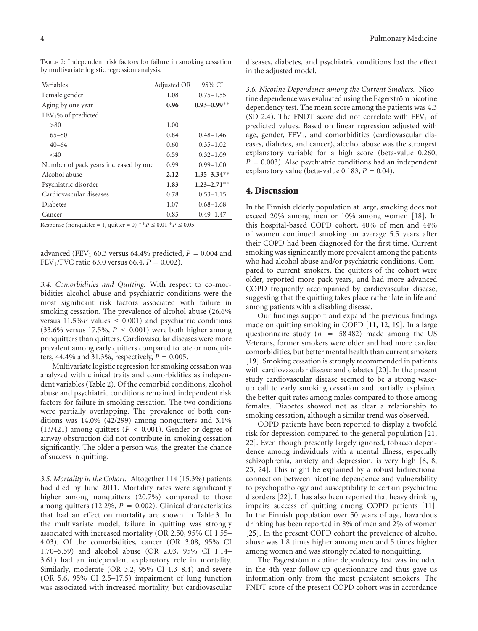<span id="page-3-0"></span>Table 2: Independent risk factors for failure in smoking cessation by multivariate logistic regression analysis.

| Variables                             | Adjusted OR | 95% CI           |
|---------------------------------------|-------------|------------------|
| Female gender                         | 1.08        | $0.75 - 1.55$    |
| Aging by one year                     | 0.96        | $0.93 - 0.99**$  |
| $FEV1$ % of predicted                 |             |                  |
| > 80                                  | 1.00        |                  |
| $65 - 80$                             | 0.84        | $0.48 - 1.46$    |
| $40 - 64$                             | 0.60        | $0.35 - 1.02$    |
| $<$ 40                                | 0.59        | $0.32 - 1.09$    |
| Number of pack years increased by one | 0.99        | $0.99 - 1.00$    |
| Alcohol abuse                         | 2.12        | $1.35 - 3.34$ ** |
| Psychiatric disorder                  | 1.83        | $1.23 - 2.71$ ** |
| Cardiovascular diseases               | 0.78        | $0.53 - 1.15$    |
| <b>Diabetes</b>                       | 1.07        | $0.68 - 1.68$    |
| Cancer                                | 0.85        | $0.49 - 1.47$    |
|                                       |             |                  |

Response (nonquitter = 1, quitter = 0)  $*$ <sup>\*</sup> *P* ≤ 0.01  $*$  *P* ≤ 0.05.

advanced (FEV<sub>1</sub> 60.3 versus 64.4% predicted,  $P = 0.004$  and FEV<sub>1</sub>/FVC ratio 63.0 versus 66.4,  $P = 0.002$ ).

*3.4. Comorbidities and Quitting.* With respect to co-morbidities alcohol abuse and psychiatric conditions were the most significant risk factors associated with failure in smoking cessation. The prevalence of alcohol abuse (26.6% versus  $11.5\%P$  values  $\leq 0.001$ ) and psychiatric conditions  $(33.6\%$  versus 17.5%,  $P \leq 0.001$ ) were both higher among nonquitters than quitters. Cardiovascular diseases were more prevalent among early quitters compared to late or nonquitters, 44.4% and 31.3%, respectively,  $P = 0.005$ .

Multivariate logistic regression for smoking cessation was analyzed with clinical traits and comorbidities as independent variables [\(Table 2\)](#page-3-0). Of the comorbid conditions, alcohol abuse and psychiatric conditions remained independent risk factors for failure in smoking cessation. The two conditions were partially overlapping. The prevalence of both conditions was 14.0% (42/299) among nonquitters and 3.1% (13/421) among quitters (*P <* 0*.*001). Gender or degree of airway obstruction did not contribute in smoking cessation significantly. The older a person was, the greater the chance of success in quitting.

*3.5. Mortality in the Cohort.* Altogether 114 (15.3%) patients had died by June 2011. Mortality rates were significantly higher among nonquitters (20.7%) compared to those among quitters (12.2%, *<sup>P</sup>* <sup>=</sup> <sup>0</sup>*.*002). Clinical characteristics that had an effect on mortality are shown in [Table 3.](#page-4-0) In the multivariate model, failure in quitting was strongly associated with increased mortality (OR 2.50, 95% CI 1.55– 4.03). Of the comorbidities, cancer (OR 3.08, 95% CI 1.70–5.59) and alcohol abuse (OR 2.03, 95% CI 1.14– 3.61) had an independent explanatory role in mortality. Similarly, moderate (OR 3.2, 95% CI 1.3–8.4) and severe (OR 5.6, 95% CI 2.5–17.5) impairment of lung function was associated with increased mortality, but cardiovascular

diseases, diabetes, and psychiatric conditions lost the effect in the adjusted model.

*3.6. Nicotine Dependence among the Current Smokers.* Nicotine dependence was evaluated using the Fagerström nicotine dependency test. The mean score among the patients was 4.3 (SD 2.4). The FNDT score did not correlate with  $FEV<sub>1</sub>$  of predicted values. Based on linear regression adjusted with age, gender, FEV<sub>1</sub>, and comorbidities (cardiovascular diseases, diabetes, and cancer), alcohol abuse was the strongest explanatory variable for a high score (beta-value 0.260,  $P = 0.003$ ). Also psychiatric conditions had an independent explanatory value (beta-value 0.183,  $P = 0.04$ ).

#### **4. Discussion**

In the Finnish elderly population at large, smoking does not exceed 20% among men or 10% among women [\[18\]](#page-5-18). In this hospital-based COPD cohort, 40% of men and 44% of women continued smoking on average 5.5 years after their COPD had been diagnosed for the first time. Current smoking was significantly more prevalent among the patients who had alcohol abuse and/or psychiatric conditions. Compared to current smokers, the quitters of the cohort were older, reported more pack years, and had more advanced COPD frequently accompanied by cardiovascular disease, suggesting that the quitting takes place rather late in life and among patients with a disabling disease.

Our findings support and expand the previous findings made on quitting smoking in COPD [\[11,](#page-5-11) [12](#page-5-12), [19](#page-6-0)]. In a large questionnaire study  $(n = 58482)$  made among the US Veterans, former smokers were older and had more cardiac comorbidities, but better mental health than current smokers [\[19\]](#page-6-0). Smoking cessation is strongly recommended in patients with cardiovascular disease and diabetes [\[20\]](#page-6-1). In the present study cardiovascular disease seemed to be a strong wakeup call to early smoking cessation and partially explained the better quit rates among males compared to those among females. Diabetes showed not as clear a relationship to smoking cessation, although a similar trend was observed.

COPD patients have been reported to display a twofold risk for depression compared to the general population [\[21](#page-6-2), [22](#page-6-3)]. Even though presently largely ignored, tobacco dependence among individuals with a mental illness, especially schizophrenia, anxiety and depression, is very high [\[6](#page-5-6), [8](#page-5-8), [23](#page-6-4), [24\]](#page-6-5). This might be explained by a robust bidirectional connection between nicotine dependence and vulnerability to psychopathology and susceptibility to certain psychiatric disorders [\[22](#page-6-3)]. It has also been reported that heavy drinking impairs success of quitting among COPD patients [\[11\]](#page-5-11). In the Finnish population over 50 years of age, hazardous drinking has been reported in 8% of men and 2% of women [\[25\]](#page-6-6). In the present COPD cohort the prevalence of alcohol abuse was 1.8 times higher among men and 5 times higher among women and was strongly related to nonquitting.

The Fagerström nicotine dependency test was included in the 4th year follow-up questionnaire and thus gave us information only from the most persistent smokers. The FNDT score of the present COPD cohort was in accordance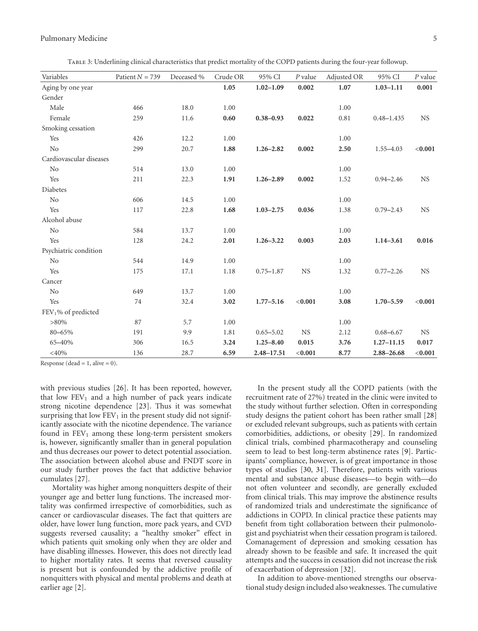#### Pulmonary Medicine 5

<span id="page-4-0"></span>Table 3: Underlining clinical characteristics that predict mortality of the COPD patients during the four-year followup.

| Variables               | Patient $N = 739$ | Deceased % | Crude OR | 95% CI         | $P$ value | Adjusted OR | 95% CI         | $P$ value |
|-------------------------|-------------------|------------|----------|----------------|-----------|-------------|----------------|-----------|
| Aging by one year       |                   |            | 1.05     | $1.02 - 1.09$  | 0.002     | 1.07        | $1.03 - 1.11$  | 0.001     |
| Gender                  |                   |            |          |                |           |             |                |           |
| Male                    | 466               | 18.0       | 1.00     |                |           | 1.00        |                |           |
| Female                  | 259               | 11.6       | 0.60     | $0.38 - 0.93$  | 0.022     | 0.81        | $0.48 - 1.435$ | <b>NS</b> |
| Smoking cessation       |                   |            |          |                |           |             |                |           |
| Yes                     | 426               | 12.2       | 1.00     |                |           | 1.00        |                |           |
| No                      | 299               | 20.7       | 1.88     | $1.26 - 2.82$  | 0.002     | 2.50        | $1.55 - 4.03$  | < 0.001   |
| Cardiovascular diseases |                   |            |          |                |           |             |                |           |
| N <sub>o</sub>          | 514               | 13.0       | 1.00     |                |           | 1.00        |                |           |
| Yes                     | 211               | 22.3       | 1.91     | $1.26 - 2.89$  | 0.002     | 1.52        | $0.94 - 2.46$  | <b>NS</b> |
| Diabetes                |                   |            |          |                |           |             |                |           |
| N <sub>o</sub>          | 606               | 14.5       | 1.00     |                |           | 1.00        |                |           |
| Yes                     | 117               | 22.8       | 1.68     | $1.03 - 2.75$  | 0.036     | 1.38        | $0.79 - 2.43$  | <b>NS</b> |
| Alcohol abuse           |                   |            |          |                |           |             |                |           |
| No                      | 584               | 13.7       | 1.00     |                |           | 1.00        |                |           |
| Yes                     | 128               | 24.2       | 2.01     | $1.26 - 3.22$  | 0.003     | 2.03        | $1.14 - 3.61$  | 0.016     |
| Psychiatric condition   |                   |            |          |                |           |             |                |           |
| N <sub>o</sub>          | 544               | 14.9       | 1.00     |                |           | 1.00        |                |           |
| Yes                     | 175               | 17.1       | 1.18     | $0.75 - 1.87$  | <b>NS</b> | 1.32        | $0.77 - 2.26$  | <b>NS</b> |
| Cancer                  |                   |            |          |                |           |             |                |           |
| No                      | 649               | 13.7       | 1.00     |                |           | 1.00        |                |           |
| Yes                     | 74                | 32.4       | 3.02     | $1.77 - 5.16$  | < 0.001   | 3.08        | $1.70 - 5.59$  | < 0.001   |
| FEV1% of predicted      |                   |            |          |                |           |             |                |           |
| $>80\%$                 | 87                | 5.7        | 1.00     |                |           | 1.00        |                |           |
| 80-65%                  | 191               | 9.9        | 1.81     | $0.65 - 5.02$  | <b>NS</b> | 2.12        | $0.68 - 6.67$  | <b>NS</b> |
| 65-40%                  | 306               | 16.5       | 3.24     | $1.25 - 8.40$  | 0.015     | 3.76        | $1.27 - 11.15$ | 0.017     |
| $<\!\!40\%$             | 136               | 28.7       | 6.59     | $2.48 - 17.51$ | < 0.001   | 8.77        | 2.88-26.68     | < 0.001   |

Response (dead =  $1$ , alive = 0).

with previous studies [\[26](#page-6-7)]. It has been reported, however, that low  $FEV_1$  and a high number of pack years indicate strong nicotine dependence [\[23](#page-6-4)]. Thus it was somewhat surprising that low  $FEV<sub>1</sub>$  in the present study did not significantly associate with the nicotine dependence. The variance found in  $FEV<sub>1</sub>$  among these long-term persistent smokers is, however, significantly smaller than in general population and thus decreases our power to detect potential association. The association between alcohol abuse and FNDT score in our study further proves the fact that addictive behavior cumulates [\[27\]](#page-6-8).

Mortality was higher among nonquitters despite of their younger age and better lung functions. The increased mortality was confirmed irrespective of comorbidities, such as cancer or cardiovascular diseases. The fact that quitters are older, have lower lung function, more pack years, and CVD suggests reversed causality; a "healthy smoker" effect in which patients quit smoking only when they are older and have disabling illnesses. However, this does not directly lead to higher mortality rates. It seems that reversed causality is present but is confounded by the addictive profile of nonquitters with physical and mental problems and death at earlier age [\[2](#page-5-2)].

In the present study all the COPD patients (with the recruitment rate of 27%) treated in the clinic were invited to the study without further selection. Often in corresponding study designs the patient cohort has been rather small [\[28](#page-6-9)] or excluded relevant subgroups, such as patients with certain comorbidities, addictions, or obesity [\[29\]](#page-6-10). In randomized clinical trials, combined pharmacotherapy and counseling seem to lead to best long-term abstinence rates [\[9\]](#page-5-9). Participants' compliance, however, is of great importance in those types of studies [\[30,](#page-6-11) [31](#page-6-12)]. Therefore, patients with various mental and substance abuse diseases—to begin with—do not often volunteer and secondly, are generally excluded from clinical trials. This may improve the abstinence results of randomized trials and underestimate the significance of addictions in COPD. In clinical practice these patients may benefit from tight collaboration between their pulmonologist and psychiatrist when their cessation program is tailored. Comanagement of depression and smoking cessation has already shown to be feasible and safe. It increased the quit attempts and the success in cessation did not increase the risk of exacerbation of depression [\[32\]](#page-6-13).

In addition to above-mentioned strengths our observational study design included also weaknesses. The cumulative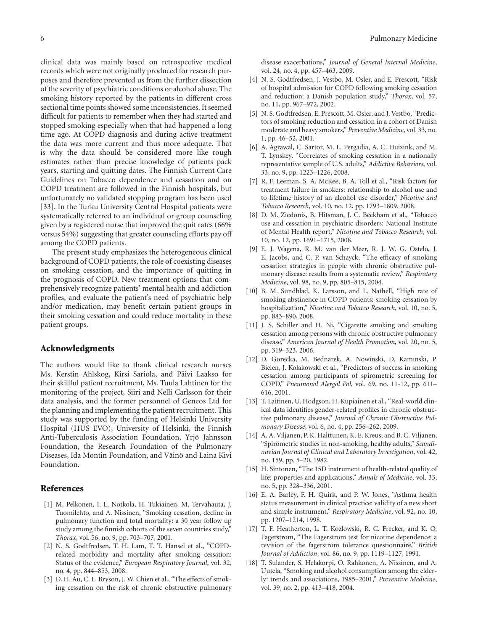clinical data was mainly based on retrospective medical records which were not originally produced for research purposes and therefore prevented us from the further dissection of the severity of psychiatric conditions or alcohol abuse. The smoking history reported by the patients in different cross sectional time points showed some inconsistencies. It seemed difficult for patients to remember when they had started and stopped smoking especially when that had happened a long time ago. At COPD diagnosis and during active treatment the data was more current and thus more adequate. That is why the data should be considered more like rough estimates rather than precise knowledge of patients pack years, starting and quitting dates. The Finnish Current Care Guidelines on Tobacco dependence and cessation and on COPD treatment are followed in the Finnish hospitals, but unfortunately no validated stopping program has been used [\[33\]](#page-6-14). In the Turku University Central Hospital patients were systematically referred to an individual or group counseling given by a registered nurse that improved the quit rates (66% versus 54%) suggesting that greater counseling efforts pay off among the COPD patients.

The present study emphasizes the heterogeneous clinical background of COPD patients, the role of coexisting diseases on smoking cessation, and the importance of quitting in the prognosis of COPD. New treatment options that comprehensively recognize patients' mental health and addiction profiles, and evaluate the patient's need of psychiatric help and/or medication, may benefit certain patient groups in their smoking cessation and could reduce mortality in these patient groups.

#### **Acknowledgments**

The authors would like to thank clinical research nurses Ms. Kerstin Ahlskog, Kirsi Sariola, and Paivi Laakso for ¨ their skillful patient recruitment, Ms. Tuula Lahtinen for the monitoring of the project, Siiri and Nelli Carlsson for their data analysis, and the former personnel of Geneos Ltd for the planning and implementing the patient recruitment. This study was supported by the funding of Helsinki University Hospital (HUS EVO), University of Helsinki, the Finnish Anti-Tuberculosis Association Foundation, Yrjo Jahnsson ¨ Foundation, the Research Foundation of the Pulmonary Diseases, Ida Montin Foundation, and Väinö and Laina Kivi Foundation.

#### <span id="page-5-0"></span>**References**

- <span id="page-5-1"></span>[1] M. Pelkonen, I. L. Notkola, H. Tukiainen, M. Tervahauta, J. Tuomilehto, and A. Nissinen, "Smoking cessation, decline in pulmonary function and total mortality: a 30 year follow up study among the finnish cohorts of the seven countries study," *Thorax*, vol. 56, no. 9, pp. 703–707, 2001.
- <span id="page-5-2"></span>[2] N. S. Godtfredsen, T. H. Lam, T. T. Hansel et al., "COPDrelated morbidity and mortality after smoking cessation: Status of the evidence," *European Respiratory Journal*, vol. 32, no. 4, pp. 844–853, 2008.
- <span id="page-5-3"></span>[3] D. H. Au, C. L. Bryson, J. W. Chien et al., "The effects of smoking cessation on the risk of chronic obstructive pulmonary

disease exacerbations," *Journal of General Internal Medicine*, vol. 24, no. 4, pp. 457–463, 2009.

- <span id="page-5-4"></span>[4] N. S. Godtfredsen, J. Vestbo, M. Osler, and E. Prescott, "Risk of hospital admission for COPD following smoking cessation and reduction: a Danish population study," *Thorax*, vol. 57, no. 11, pp. 967–972, 2002.
- <span id="page-5-5"></span>[5] N. S. Godtfredsen, E. Prescott, M. Osler, and J. Vestbo, "Predictors of smoking reduction and cessation in a cohort of Danish moderate and heavy smokers," *Preventive Medicine*, vol. 33, no. 1, pp. 46–52, 2001.
- <span id="page-5-6"></span>[6] A. Agrawal, C. Sartor, M. L. Pergadia, A. C. Huizink, and M. T. Lynskey, "Correlates of smoking cessation in a nationally representative sample of U.S. adults," *Addictive Behaviors*, vol. 33, no. 9, pp. 1223–1226, 2008.
- <span id="page-5-7"></span>[7] R. F. Leeman, S. A. McKee, B. A. Toll et al., "Risk factors for treatment failure in smokers: relationship to alcohol use and to lifetime history of an alcohol use disorder," *Nicotine and Tobacco Research*, vol. 10, no. 12, pp. 1793–1809, 2008.
- <span id="page-5-8"></span>[8] D. M. Ziedonis, B. Hitsman, J. C. Beckham et al., "Tobacco use and cessation in psychiatric disorders: National Institute of Mental Health report," *Nicotine and Tobacco Research*, vol. 10, no. 12, pp. 1691–1715, 2008.
- <span id="page-5-9"></span>[9] E. J. Wagena, R. M. van der Meer, R. J. W. G. Ostelo, J. E. Jacobs, and C. P. van Schayck, "The efficacy of smoking cessation strategies in people with chronic obstructive pulmonary disease: results from a systematic review," *Respiratory Medicine*, vol. 98, no. 9, pp. 805–815, 2004.
- <span id="page-5-10"></span>[10] B. M. Sundblad, K. Larsson, and L. Nathell, "High rate of smoking abstinence in COPD patients: smoking cessation by hospitalization," *Nicotine and Tobacco Research*, vol. 10, no. 5, pp. 883–890, 2008.
- <span id="page-5-11"></span>[11] J. S. Schiller and H. Ni, "Cigarette smoking and smoking cessation among persons with chronic obstructive pulmonary disease," *American Journal of Health Promotion*, vol. 20, no. 5, pp. 319–323, 2006.
- <span id="page-5-12"></span>[12] D. Gorecka, M. Bednarek, A. Nowinski, D. Kaminski, P. Bielen, J. Kolakowski et al., "Predictors of success in smoking cessation among participants of spirometric screening for COPD," *Pneumonol Alergol Pol*, vol. 69, no. 11-12, pp. 611– 616, 2001.
- <span id="page-5-13"></span>[13] T. Laitinen, U. Hodgson, H. Kupiainen et al., "Real-world clinical data identifies gender-related profiles in chronic obstructive pulmonary disease," *Journal of Chronic Obstructive Pulmonary Disease*, vol. 6, no. 4, pp. 256–262, 2009.
- <span id="page-5-14"></span>[14] A. A. Viljanen, P. K. Halttunen, K. E. Kreus, and B. C. Viljanen, "Spirometric studies in non-smoking, healthy adults," *Scandinavian Journal of Clinical and Laboratory Investigation*, vol. 42, no. 159, pp. 5–20, 1982.
- <span id="page-5-15"></span>[15] H. Sintonen, "The 15D instrument of health-related quality of life: properties and applications," *Annals of Medicine*, vol. 33, no. 5, pp. 328–336, 2001.
- <span id="page-5-16"></span>[16] E. A. Barley, F. H. Quirk, and P. W. Jones, "Asthma health status measurement in clinical practice: validity of a new short and simple instrument," *Respiratory Medicine*, vol. 92, no. 10, pp. 1207–1214, 1998.
- <span id="page-5-17"></span>[17] T. F. Heatherton, L. T. Kozlowski, R. C. Frecker, and K. O. Fagerstrom, "The Fagerstrom test for nicotine dependence: a revision of the fagerstrom tolerance questionnaire," *British Journal of Addiction*, vol. 86, no. 9, pp. 1119–1127, 1991.
- <span id="page-5-18"></span>[18] T. Sulander, S. Helakorpi, O. Rahkonen, A. Nissinen, and A. Uutela, "Smoking and alcohol consumption among the elderly: trends and associations, 1985–2001," *Preventive Medicine*, vol. 39, no. 2, pp. 413–418, 2004.